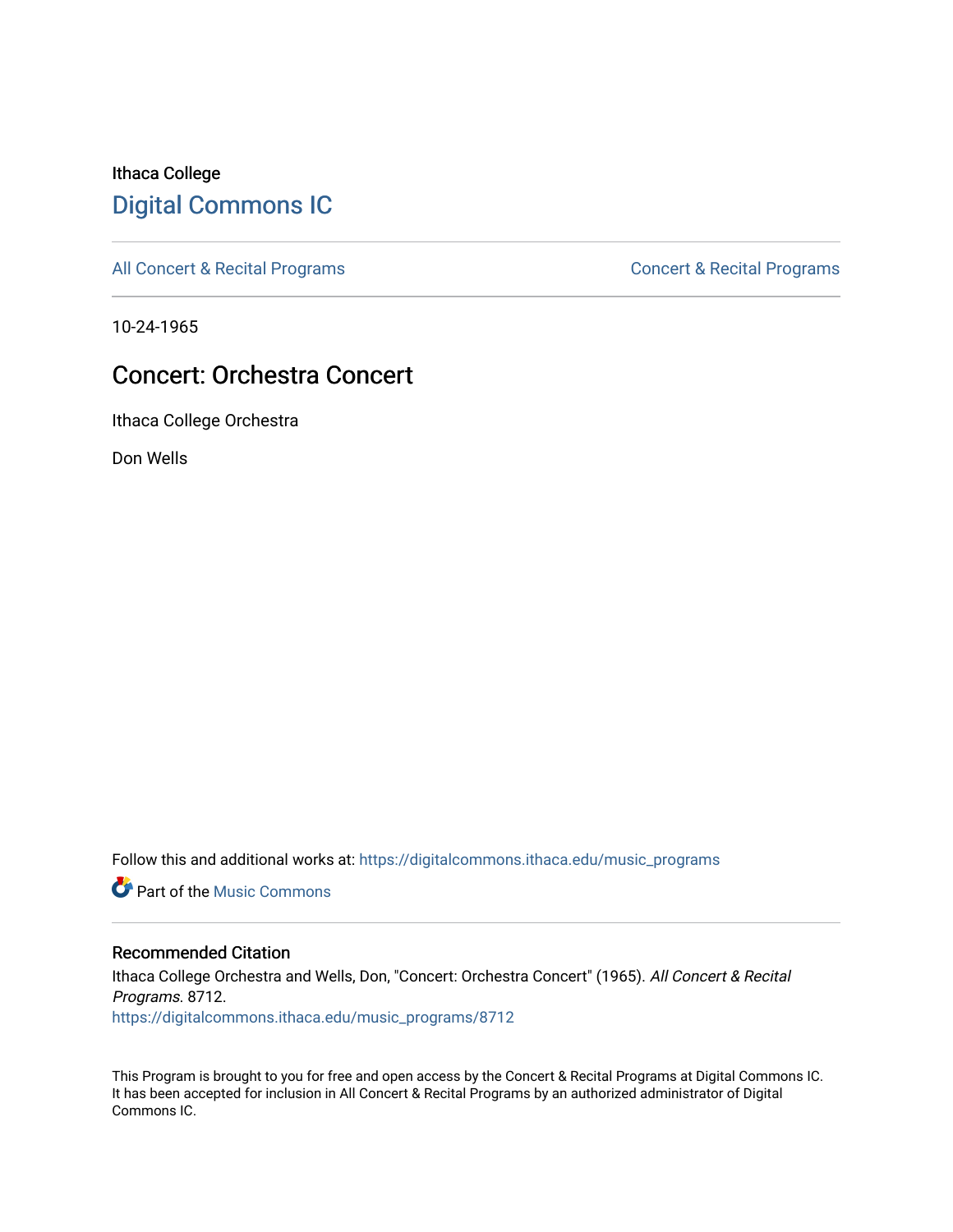# Ithaca College [Digital Commons IC](https://digitalcommons.ithaca.edu/)

[All Concert & Recital Programs](https://digitalcommons.ithaca.edu/music_programs) **Concert & Recital Programs** Concert & Recital Programs

10-24-1965

# Concert: Orchestra Concert

Ithaca College Orchestra

Don Wells

Follow this and additional works at: [https://digitalcommons.ithaca.edu/music\\_programs](https://digitalcommons.ithaca.edu/music_programs?utm_source=digitalcommons.ithaca.edu%2Fmusic_programs%2F8712&utm_medium=PDF&utm_campaign=PDFCoverPages) 

**Part of the Music Commons** 

### Recommended Citation

Ithaca College Orchestra and Wells, Don, "Concert: Orchestra Concert" (1965). All Concert & Recital Programs. 8712. [https://digitalcommons.ithaca.edu/music\\_programs/8712](https://digitalcommons.ithaca.edu/music_programs/8712?utm_source=digitalcommons.ithaca.edu%2Fmusic_programs%2F8712&utm_medium=PDF&utm_campaign=PDFCoverPages) 

This Program is brought to you for free and open access by the Concert & Recital Programs at Digital Commons IC. It has been accepted for inclusion in All Concert & Recital Programs by an authorized administrator of Digital Commons IC.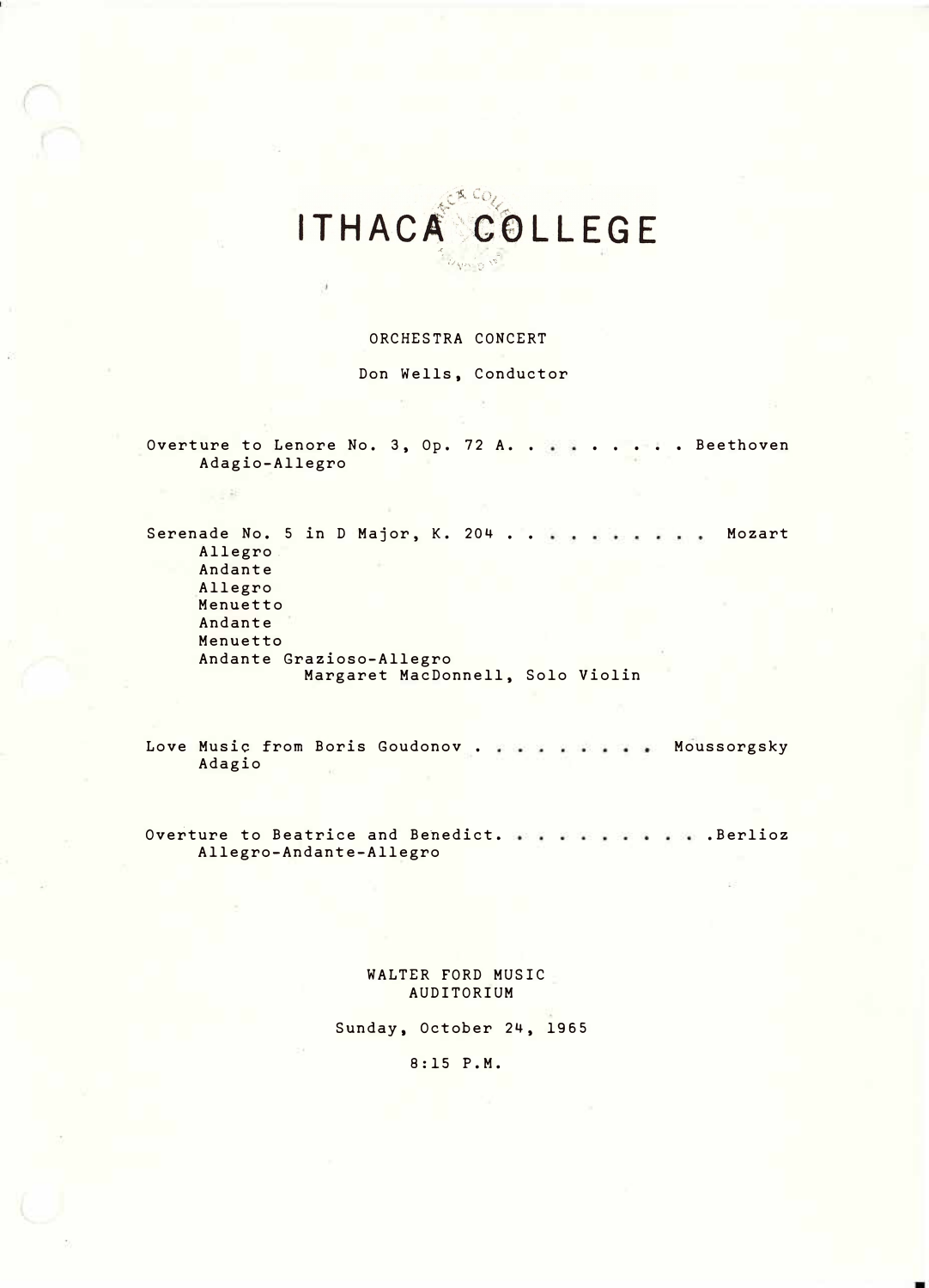### '·  $\nu_{\rm qm}$ ;'-.;-

,:

#### ORCHESTRA CONCERT

Don Wells, Conductor

Overture to Lenore No. 3, Op. 72 A. . . . . . . . Beethoven Adagio-Allegro

 $-21$ 

Serenade No. 5 in D Major, K. 204 .. Mozart Allegro. Andante Allegro Menuetto Andante Menuetto Andante Grazioso-Allegro Margaret MacDonnell, Solo Violin

Love Music from Boris Goudonov . . . . . . . . Moussorgsky Adagio

Overture to Beatrice and Benedict. . . . . . . . . . Berlioz Allegro-Andante-Allegro

> WALTER FORD MUSIC AUDITORIUM

Sunday, October 24, 1965

8:15 P.M.